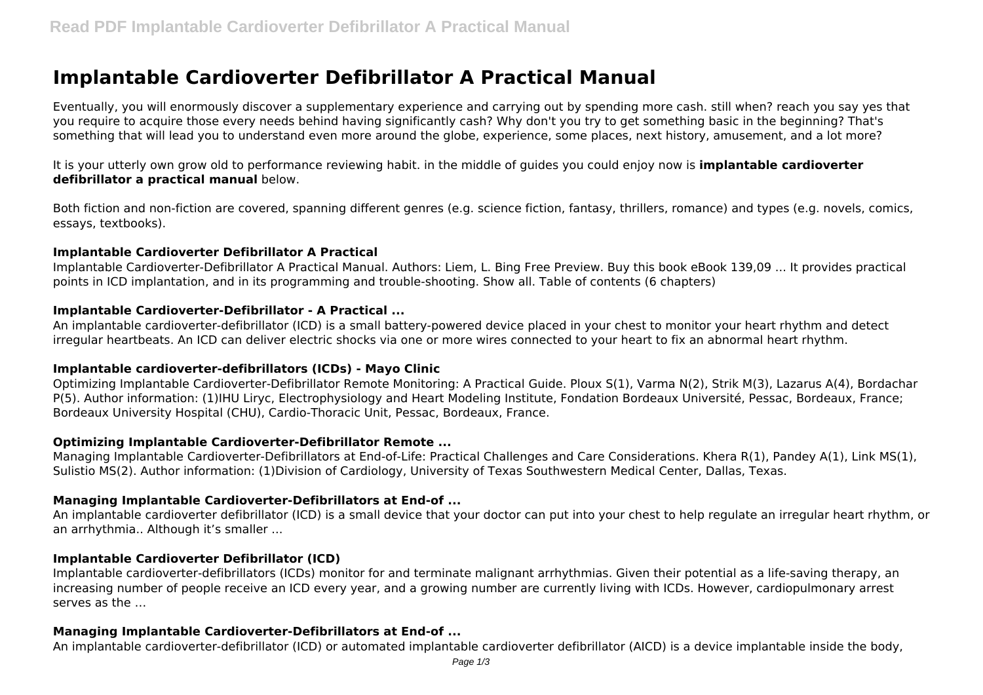# **Implantable Cardioverter Defibrillator A Practical Manual**

Eventually, you will enormously discover a supplementary experience and carrying out by spending more cash. still when? reach you say yes that you require to acquire those every needs behind having significantly cash? Why don't you try to get something basic in the beginning? That's something that will lead you to understand even more around the globe, experience, some places, next history, amusement, and a lot more?

It is your utterly own grow old to performance reviewing habit. in the middle of guides you could enjoy now is **implantable cardioverter defibrillator a practical manual** below.

Both fiction and non-fiction are covered, spanning different genres (e.g. science fiction, fantasy, thrillers, romance) and types (e.g. novels, comics, essays, textbooks).

#### **Implantable Cardioverter Defibrillator A Practical**

Implantable Cardioverter-Defibrillator A Practical Manual. Authors: Liem, L. Bing Free Preview. Buy this book eBook 139,09 ... It provides practical points in ICD implantation, and in its programming and trouble-shooting. Show all. Table of contents (6 chapters)

# **Implantable Cardioverter-Defibrillator - A Practical ...**

An implantable cardioverter-defibrillator (ICD) is a small battery-powered device placed in your chest to monitor your heart rhythm and detect irregular heartbeats. An ICD can deliver electric shocks via one or more wires connected to your heart to fix an abnormal heart rhythm.

# **Implantable cardioverter-defibrillators (ICDs) - Mayo Clinic**

Optimizing Implantable Cardioverter-Defibrillator Remote Monitoring: A Practical Guide. Ploux S(1), Varma N(2), Strik M(3), Lazarus A(4), Bordachar P(5). Author information: (1)IHU Liryc, Electrophysiology and Heart Modeling Institute, Fondation Bordeaux Université, Pessac, Bordeaux, France; Bordeaux University Hospital (CHU), Cardio-Thoracic Unit, Pessac, Bordeaux, France.

# **Optimizing Implantable Cardioverter-Defibrillator Remote ...**

Managing Implantable Cardioverter-Defibrillators at End-of-Life: Practical Challenges and Care Considerations. Khera R(1), Pandey A(1), Link MS(1), Sulistio MS(2). Author information: (1)Division of Cardiology, University of Texas Southwestern Medical Center, Dallas, Texas.

# **Managing Implantable Cardioverter-Defibrillators at End-of ...**

An implantable cardioverter defibrillator (ICD) is a small device that your doctor can put into your chest to help regulate an irregular heart rhythm, or an arrhythmia.. Although it's smaller ...

#### **Implantable Cardioverter Defibrillator (ICD)**

Implantable cardioverter-defibrillators (ICDs) monitor for and terminate malignant arrhythmias. Given their potential as a life-saving therapy, an increasing number of people receive an ICD every year, and a growing number are currently living with ICDs. However, cardiopulmonary arrest serves as the …

# **Managing Implantable Cardioverter-Defibrillators at End-of ...**

An implantable cardioverter-defibrillator (ICD) or automated implantable cardioverter defibrillator (AICD) is a device implantable inside the body,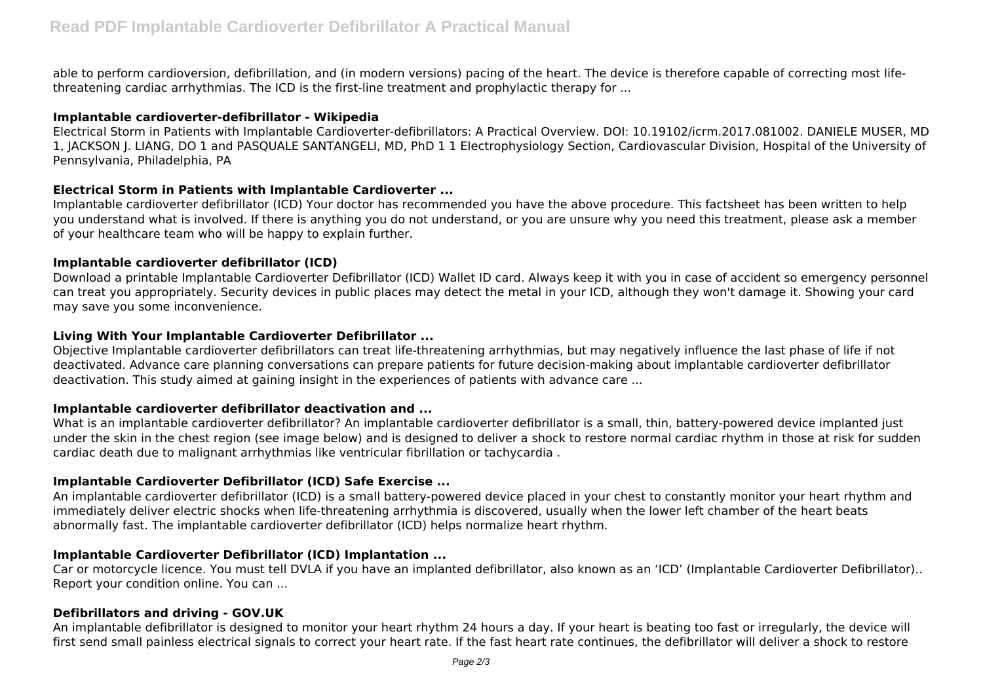able to perform cardioversion, defibrillation, and (in modern versions) pacing of the heart. The device is therefore capable of correcting most lifethreatening cardiac arrhythmias. The ICD is the first-line treatment and prophylactic therapy for ...

## **Implantable cardioverter-defibrillator - Wikipedia**

Electrical Storm in Patients with Implantable Cardioverter-defibrillators: A Practical Overview. DOI: 10.19102/icrm.2017.081002. DANIELE MUSER, MD 1, JACKSON J. LIANG, DO 1 and PASQUALE SANTANGELI, MD, PhD 1 1 Electrophysiology Section, Cardiovascular Division, Hospital of the University of Pennsylvania, Philadelphia, PA

# **Electrical Storm in Patients with Implantable Cardioverter ...**

Implantable cardioverter defibrillator (ICD) Your doctor has recommended you have the above procedure. This factsheet has been written to help you understand what is involved. If there is anything you do not understand, or you are unsure why you need this treatment, please ask a member of your healthcare team who will be happy to explain further.

## **Implantable cardioverter defibrillator (ICD)**

Download a printable Implantable Cardioverter Defibrillator (ICD) Wallet ID card. Always keep it with you in case of accident so emergency personnel can treat you appropriately. Security devices in public places may detect the metal in your ICD, although they won't damage it. Showing your card may save you some inconvenience.

## **Living With Your Implantable Cardioverter Defibrillator ...**

Objective Implantable cardioverter defibrillators can treat life-threatening arrhythmias, but may negatively influence the last phase of life if not deactivated. Advance care planning conversations can prepare patients for future decision-making about implantable cardioverter defibrillator deactivation. This study aimed at gaining insight in the experiences of patients with advance care ...

#### **Implantable cardioverter defibrillator deactivation and ...**

What is an implantable cardioverter defibrillator? An implantable cardioverter defibrillator is a small, thin, battery-powered device implanted just under the skin in the chest region (see image below) and is designed to deliver a shock to restore normal cardiac rhythm in those at risk for sudden cardiac death due to malignant arrhythmias like ventricular fibrillation or tachycardia .

# **Implantable Cardioverter Defibrillator (ICD) Safe Exercise ...**

An implantable cardioverter defibrillator (ICD) is a small battery-powered device placed in your chest to constantly monitor your heart rhythm and immediately deliver electric shocks when life-threatening arrhythmia is discovered, usually when the lower left chamber of the heart beats abnormally fast. The implantable cardioverter defibrillator (ICD) helps normalize heart rhythm.

# **Implantable Cardioverter Defibrillator (ICD) Implantation ...**

Car or motorcycle licence. You must tell DVLA if you have an implanted defibrillator, also known as an 'ICD' (Implantable Cardioverter Defibrillator).. Report your condition online. You can ...

# **Defibrillators and driving - GOV.UK**

An implantable defibrillator is designed to monitor your heart rhythm 24 hours a day. If your heart is beating too fast or irregularly, the device will first send small painless electrical signals to correct your heart rate. If the fast heart rate continues, the defibrillator will deliver a shock to restore